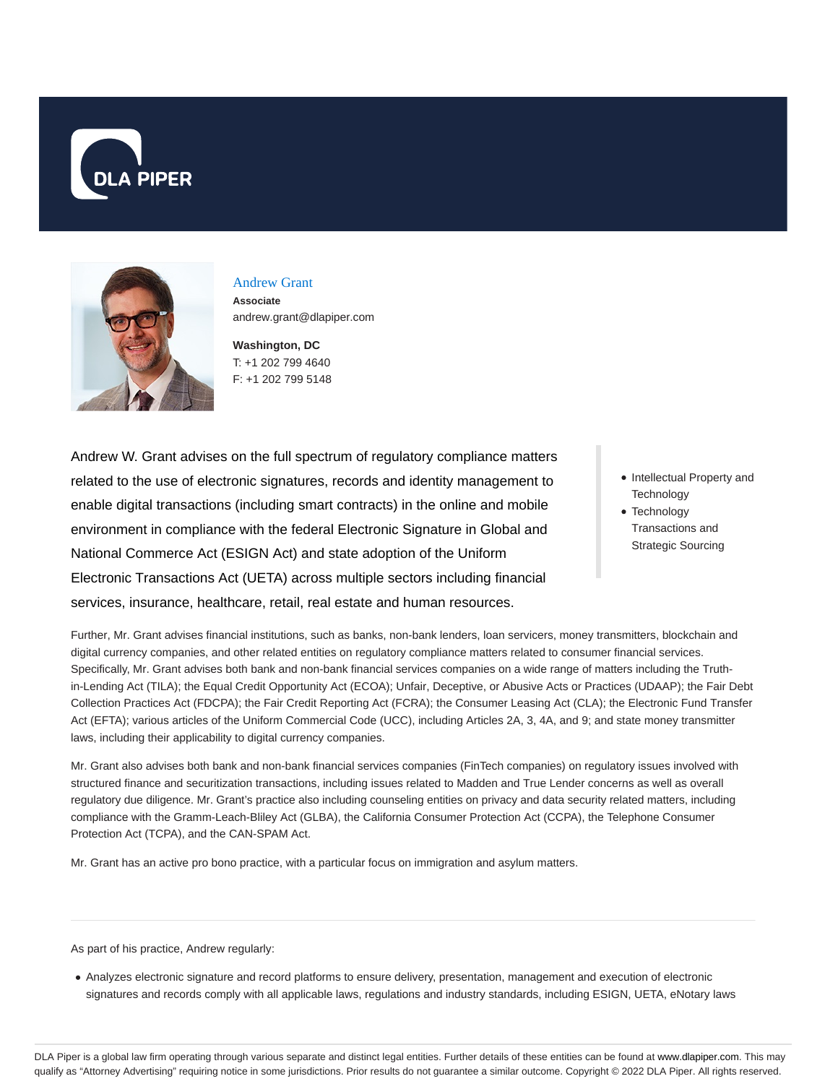



# Andrew Grant

**Associate** andrew.grant@dlapiper.com

**Washington, DC** T: +1 202 799 4640 F: +1 202 799 5148

Andrew W. Grant advises on the full spectrum of regulatory compliance matters related to the use of electronic signatures, records and identity management to enable digital transactions (including smart contracts) in the online and mobile environment in compliance with the federal Electronic Signature in Global and National Commerce Act (ESIGN Act) and state adoption of the Uniform Electronic Transactions Act (UETA) across multiple sectors including financial services, insurance, healthcare, retail, real estate and human resources.

- Intellectual Property and **Technology**
- Technology Transactions and Strategic Sourcing

Further, Mr. Grant advises financial institutions, such as banks, non-bank lenders, loan servicers, money transmitters, blockchain and digital currency companies, and other related entities on regulatory compliance matters related to consumer financial services. Specifically, Mr. Grant advises both bank and non-bank financial services companies on a wide range of matters including the Truthin-Lending Act (TILA); the Equal Credit Opportunity Act (ECOA); Unfair, Deceptive, or Abusive Acts or Practices (UDAAP); the Fair Debt Collection Practices Act (FDCPA); the Fair Credit Reporting Act (FCRA); the Consumer Leasing Act (CLA); the Electronic Fund Transfer Act (EFTA); various articles of the Uniform Commercial Code (UCC), including Articles 2A, 3, 4A, and 9; and state money transmitter laws, including their applicability to digital currency companies.

Mr. Grant also advises both bank and non-bank financial services companies (FinTech companies) on regulatory issues involved with structured finance and securitization transactions, including issues related to Madden and True Lender concerns as well as overall regulatory due diligence. Mr. Grant's practice also including counseling entities on privacy and data security related matters, including compliance with the Gramm-Leach-Bliley Act (GLBA), the California Consumer Protection Act (CCPA), the Telephone Consumer Protection Act (TCPA), and the CAN-SPAM Act.

Mr. Grant has an active pro bono practice, with a particular focus on immigration and asylum matters.

As part of his practice, Andrew regularly:

Analyzes electronic signature and record platforms to ensure delivery, presentation, management and execution of electronic signatures and records comply with all applicable laws, regulations and industry standards, including ESIGN, UETA, eNotary laws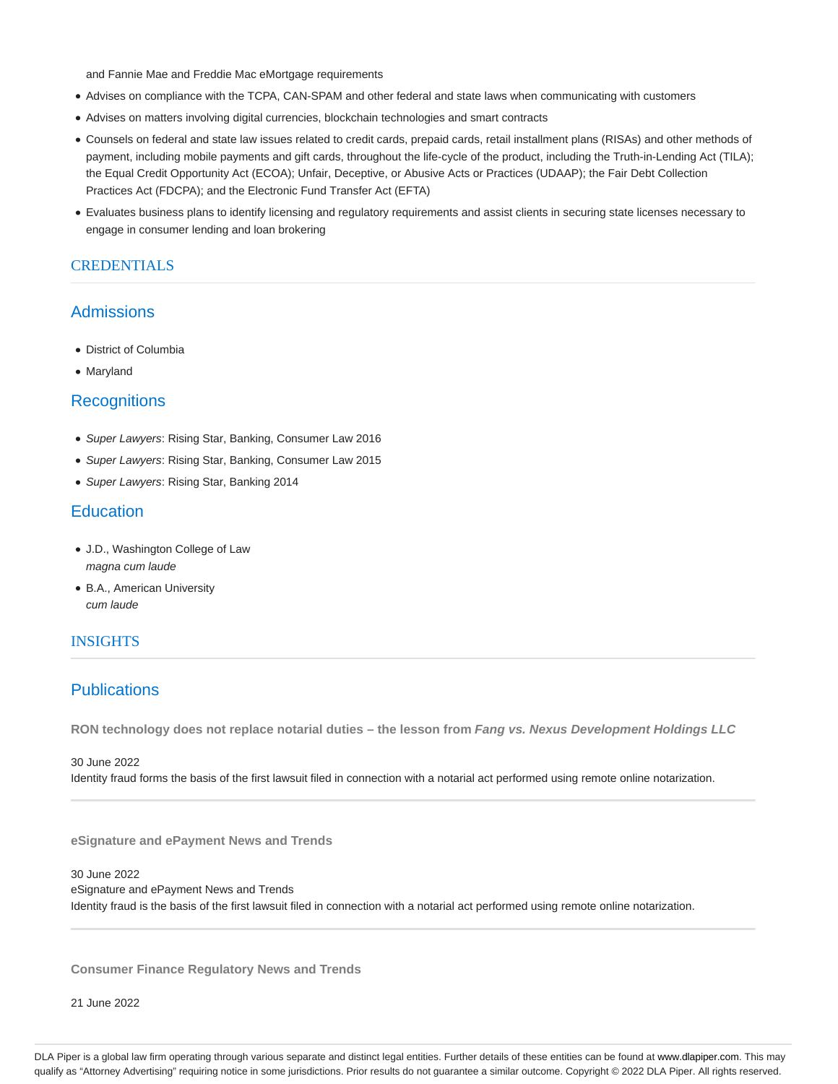and Fannie Mae and Freddie Mac eMortgage requirements

- Advises on compliance with the TCPA, CAN-SPAM and other federal and state laws when communicating with customers
- Advises on matters involving digital currencies, blockchain technologies and smart contracts
- Counsels on federal and state law issues related to credit cards, prepaid cards, retail installment plans (RISAs) and other methods of payment, including mobile payments and gift cards, throughout the life-cycle of the product, including the Truth-in-Lending Act (TILA); the Equal Credit Opportunity Act (ECOA); Unfair, Deceptive, or Abusive Acts or Practices (UDAAP); the Fair Debt Collection Practices Act (FDCPA); and the Electronic Fund Transfer Act (EFTA)
- Evaluates business plans to identify licensing and regulatory requirements and assist clients in securing state licenses necessary to engage in consumer lending and loan brokering

# **CREDENTIALS**

# Admissions

- District of Columbia
- Maryland

## **Recognitions**

- Super Lawyers: Rising Star, Banking, Consumer Law 2016
- Super Lawyers: Rising Star, Banking, Consumer Law 2015
- Super Lawyers: Rising Star, Banking 2014

# **Education**

- J.D., Washington College of Law magna cum laude
- B.A., American University cum laude

# INSIGHTS

# **Publications**

**RON technology does not replace notarial duties – the lesson from Fang vs. Nexus Development Holdings LLC**

30 June 2022 Identity fraud forms the basis of the first lawsuit filed in connection with a notarial act performed using remote online notarization.

**eSignature and ePayment News and Trends**

30 June 2022 eSignature and ePayment News and Trends Identity fraud is the basis of the first lawsuit filed in connection with a notarial act performed using remote online notarization.

**Consumer Finance Regulatory News and Trends**

21 June 2022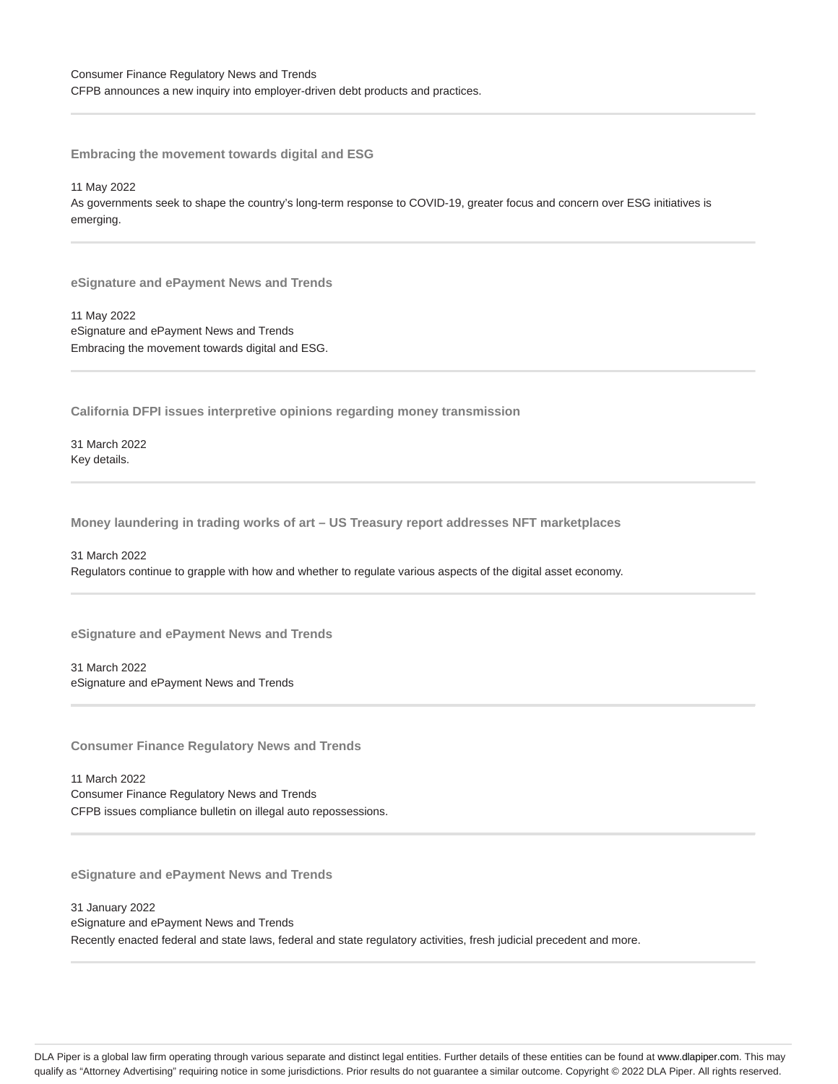CFPB announces a new inquiry into employer-driven debt products and practices.

**Embracing the movement towards digital and ESG**

11 May 2022 As governments seek to shape the country's long-term response to COVID-19, greater focus and concern over ESG initiatives is emerging.

**eSignature and ePayment News and Trends**

11 May 2022 eSignature and ePayment News and Trends Embracing the movement towards digital and ESG.

**California DFPI issues interpretive opinions regarding money transmission**

31 March 2022 Key details.

**Money laundering in trading works of art – US Treasury report addresses NFT marketplaces**

31 March 2022 Regulators continue to grapple with how and whether to regulate various aspects of the digital asset economy.

**eSignature and ePayment News and Trends**

31 March 2022 eSignature and ePayment News and Trends

**Consumer Finance Regulatory News and Trends**

11 March 2022 Consumer Finance Regulatory News and Trends CFPB issues compliance bulletin on illegal auto repossessions.

**eSignature and ePayment News and Trends**

31 January 2022 eSignature and ePayment News and Trends Recently enacted federal and state laws, federal and state regulatory activities, fresh judicial precedent and more.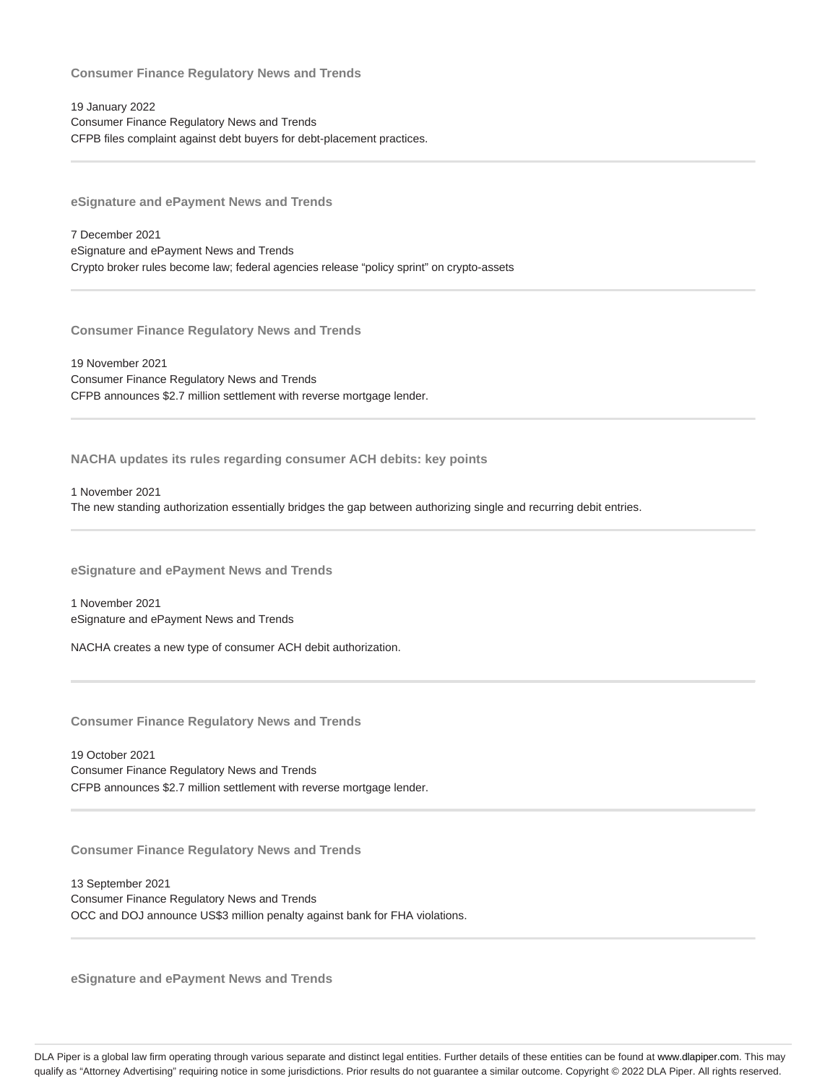19 January 2022 Consumer Finance Regulatory News and Trends CFPB files complaint against debt buyers for debt-placement practices.

**eSignature and ePayment News and Trends**

7 December 2021 eSignature and ePayment News and Trends Crypto broker rules become law; federal agencies release "policy sprint" on crypto-assets

**Consumer Finance Regulatory News and Trends**

19 November 2021 Consumer Finance Regulatory News and Trends CFPB announces \$2.7 million settlement with reverse mortgage lender.

**NACHA updates its rules regarding consumer ACH debits: key points**

1 November 2021 The new standing authorization essentially bridges the gap between authorizing single and recurring debit entries.

**eSignature and ePayment News and Trends**

1 November 2021 eSignature and ePayment News and Trends

NACHA creates a new type of consumer ACH debit authorization.

**Consumer Finance Regulatory News and Trends**

19 October 2021 Consumer Finance Regulatory News and Trends CFPB announces \$2.7 million settlement with reverse mortgage lender.

**Consumer Finance Regulatory News and Trends**

13 September 2021 Consumer Finance Regulatory News and Trends OCC and DOJ announce US\$3 million penalty against bank for FHA violations.

**eSignature and ePayment News and Trends**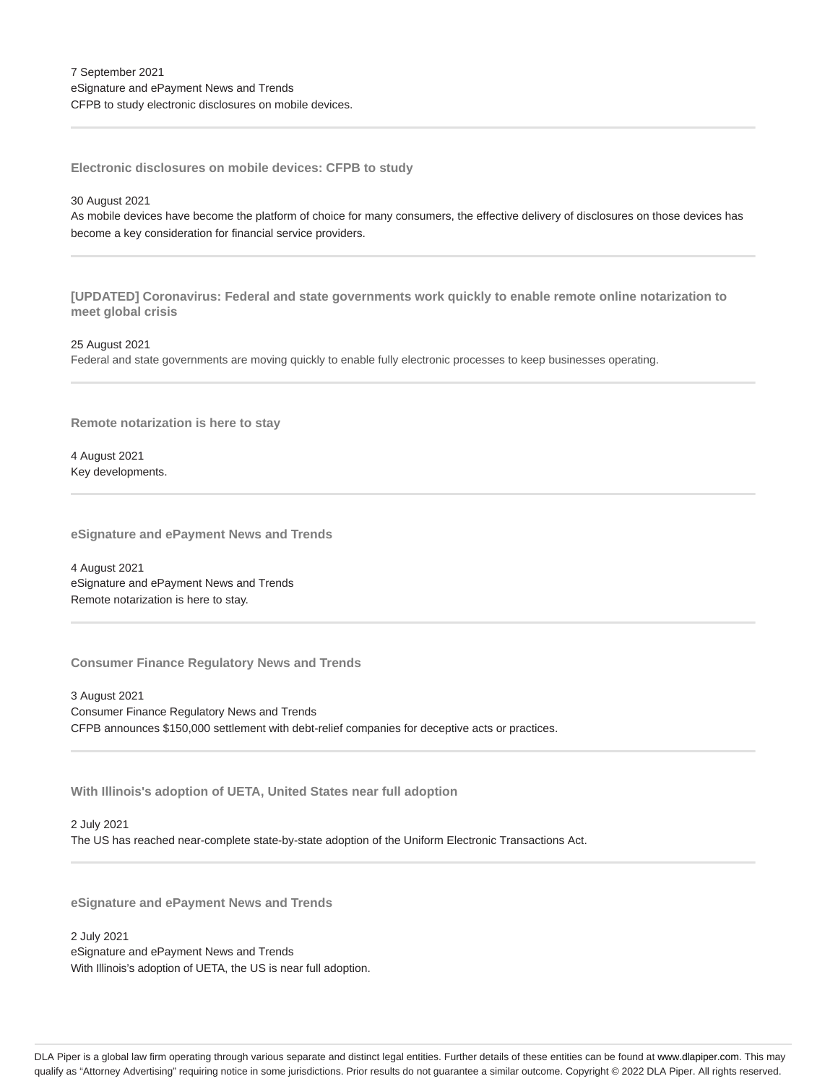**Electronic disclosures on mobile devices: CFPB to study**

#### 30 August 2021

As mobile devices have become the platform of choice for many consumers, the effective delivery of disclosures on those devices has become a key consideration for financial service providers.

**[UPDATED] Coronavirus: Federal and state governments work quickly to enable remote online notarization to meet global crisis**

25 August 2021

Federal and state governments are moving quickly to enable fully electronic processes to keep businesses operating.

**Remote notarization is here to stay**

4 August 2021 Key developments.

**eSignature and ePayment News and Trends**

4 August 2021 eSignature and ePayment News and Trends Remote notarization is here to stay.

**Consumer Finance Regulatory News and Trends**

3 August 2021 Consumer Finance Regulatory News and Trends CFPB announces \$150,000 settlement with debt-relief companies for deceptive acts or practices.

**With Illinois's adoption of UETA, United States near full adoption**

2 July 2021 The US has reached near-complete state-by-state adoption of the Uniform Electronic Transactions Act.

**eSignature and ePayment News and Trends**

2 July 2021 eSignature and ePayment News and Trends With Illinois's adoption of UETA, the US is near full adoption.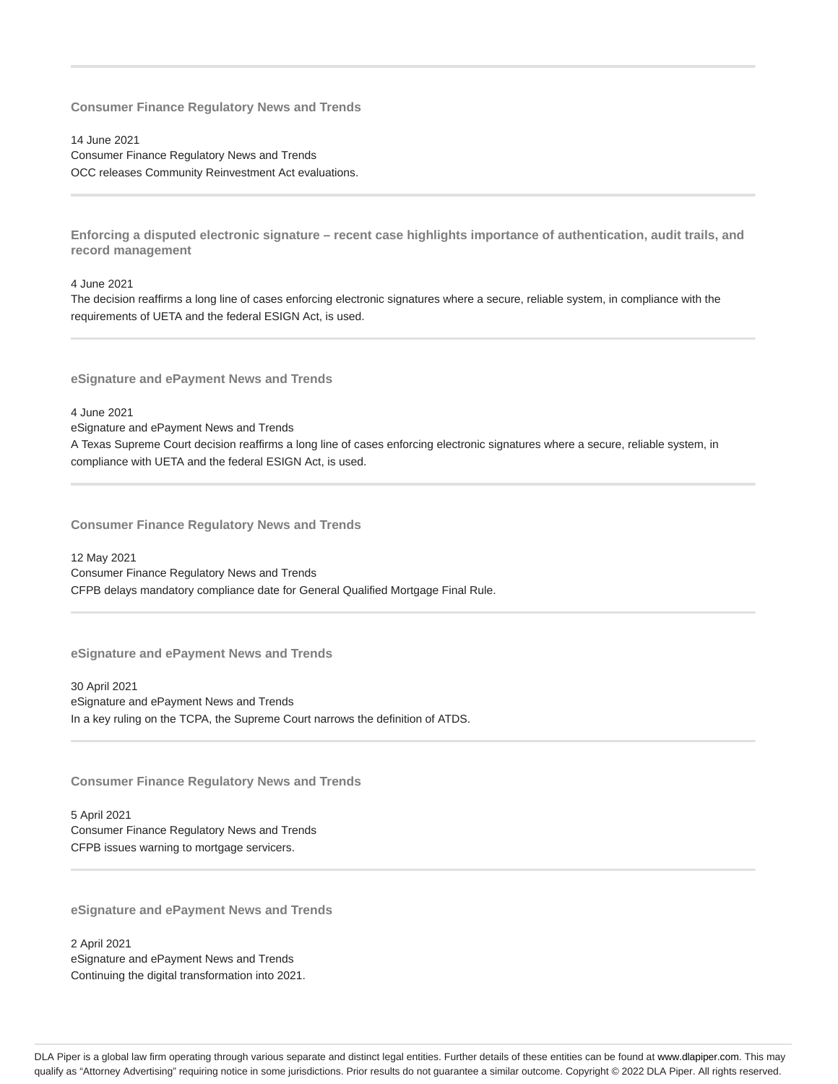14 June 2021 Consumer Finance Regulatory News and Trends OCC releases Community Reinvestment Act evaluations.

**Enforcing a disputed electronic signature – recent case highlights importance of authentication, audit trails, and record management**

#### 4 June 2021

The decision reaffirms a long line of cases enforcing electronic signatures where a secure, reliable system, in compliance with the requirements of UETA and the federal ESIGN Act, is used.

**eSignature and ePayment News and Trends**

4 June 2021

eSignature and ePayment News and Trends A Texas Supreme Court decision reaffirms a long line of cases enforcing electronic signatures where a secure, reliable system, in compliance with UETA and the federal ESIGN Act, is used.

**Consumer Finance Regulatory News and Trends**

12 May 2021 Consumer Finance Regulatory News and Trends CFPB delays mandatory compliance date for General Qualified Mortgage Final Rule.

**eSignature and ePayment News and Trends**

30 April 2021 eSignature and ePayment News and Trends In a key ruling on the TCPA, the Supreme Court narrows the definition of ATDS.

**Consumer Finance Regulatory News and Trends**

5 April 2021 Consumer Finance Regulatory News and Trends CFPB issues warning to mortgage servicers.

**eSignature and ePayment News and Trends**

2 April 2021 eSignature and ePayment News and Trends Continuing the digital transformation into 2021.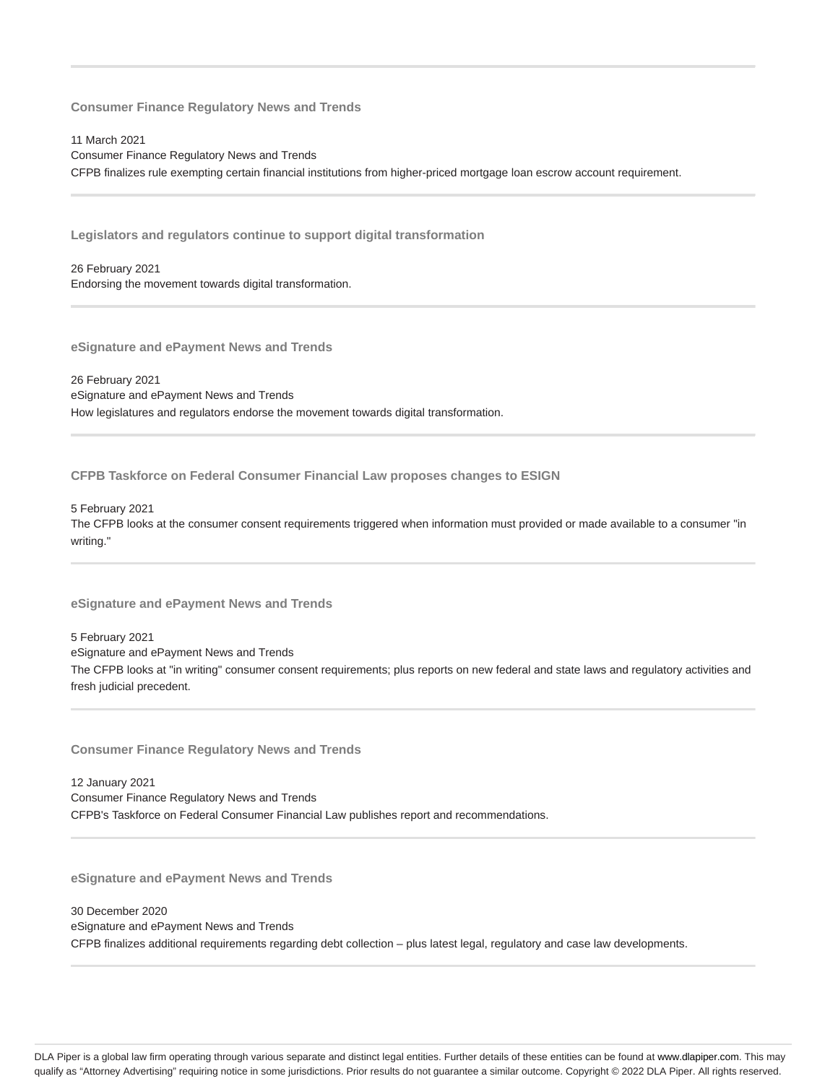11 March 2021 Consumer Finance Regulatory News and Trends CFPB finalizes rule exempting certain financial institutions from higher-priced mortgage loan escrow account requirement.

**Legislators and regulators continue to support digital transformation**

26 February 2021 Endorsing the movement towards digital transformation.

**eSignature and ePayment News and Trends**

26 February 2021 eSignature and ePayment News and Trends How legislatures and regulators endorse the movement towards digital transformation.

**CFPB Taskforce on Federal Consumer Financial Law proposes changes to ESIGN**

5 February 2021 The CFPB looks at the consumer consent requirements triggered when information must provided or made available to a consumer "in writing."

**eSignature and ePayment News and Trends**

5 February 2021 eSignature and ePayment News and Trends The CFPB looks at "in writing" consumer consent requirements; plus reports on new federal and state laws and regulatory activities and fresh judicial precedent.

**Consumer Finance Regulatory News and Trends**

12 January 2021 Consumer Finance Regulatory News and Trends CFPB's Taskforce on Federal Consumer Financial Law publishes report and recommendations.

**eSignature and ePayment News and Trends**

30 December 2020 eSignature and ePayment News and Trends CFPB finalizes additional requirements regarding debt collection – plus latest legal, regulatory and case law developments.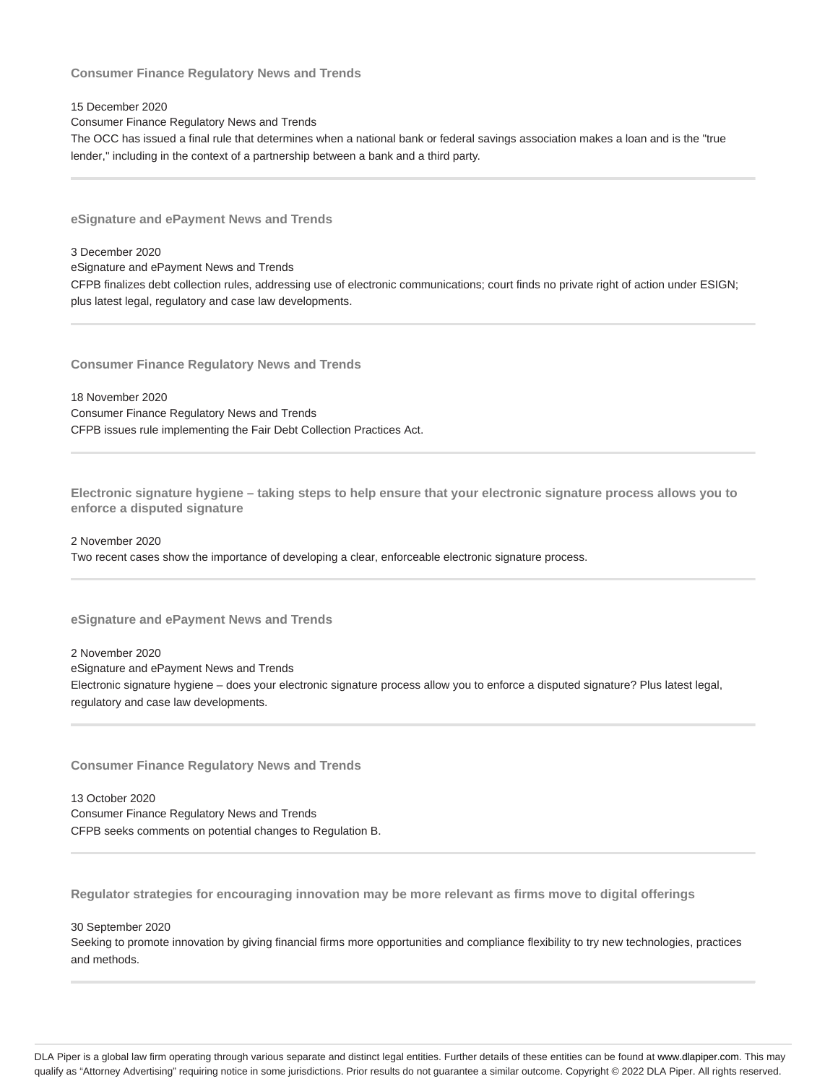15 December 2020

Consumer Finance Regulatory News and Trends

The OCC has issued a final rule that determines when a national bank or federal savings association makes a loan and is the "true lender," including in the context of a partnership between a bank and a third party.

**eSignature and ePayment News and Trends**

3 December 2020

eSignature and ePayment News and Trends

CFPB finalizes debt collection rules, addressing use of electronic communications; court finds no private right of action under ESIGN; plus latest legal, regulatory and case law developments.

**Consumer Finance Regulatory News and Trends**

18 November 2020 Consumer Finance Regulatory News and Trends CFPB issues rule implementing the Fair Debt Collection Practices Act.

**Electronic signature hygiene – taking steps to help ensure that your electronic signature process allows you to enforce a disputed signature**

2 November 2020

Two recent cases show the importance of developing a clear, enforceable electronic signature process.

**eSignature and ePayment News and Trends**

2 November 2020

eSignature and ePayment News and Trends

Electronic signature hygiene – does your electronic signature process allow you to enforce a disputed signature? Plus latest legal, regulatory and case law developments.

**Consumer Finance Regulatory News and Trends**

13 October 2020 Consumer Finance Regulatory News and Trends CFPB seeks comments on potential changes to Regulation B.

**Regulator strategies for encouraging innovation may be more relevant as firms move to digital offerings**

30 September 2020

Seeking to promote innovation by giving financial firms more opportunities and compliance flexibility to try new technologies, practices and methods.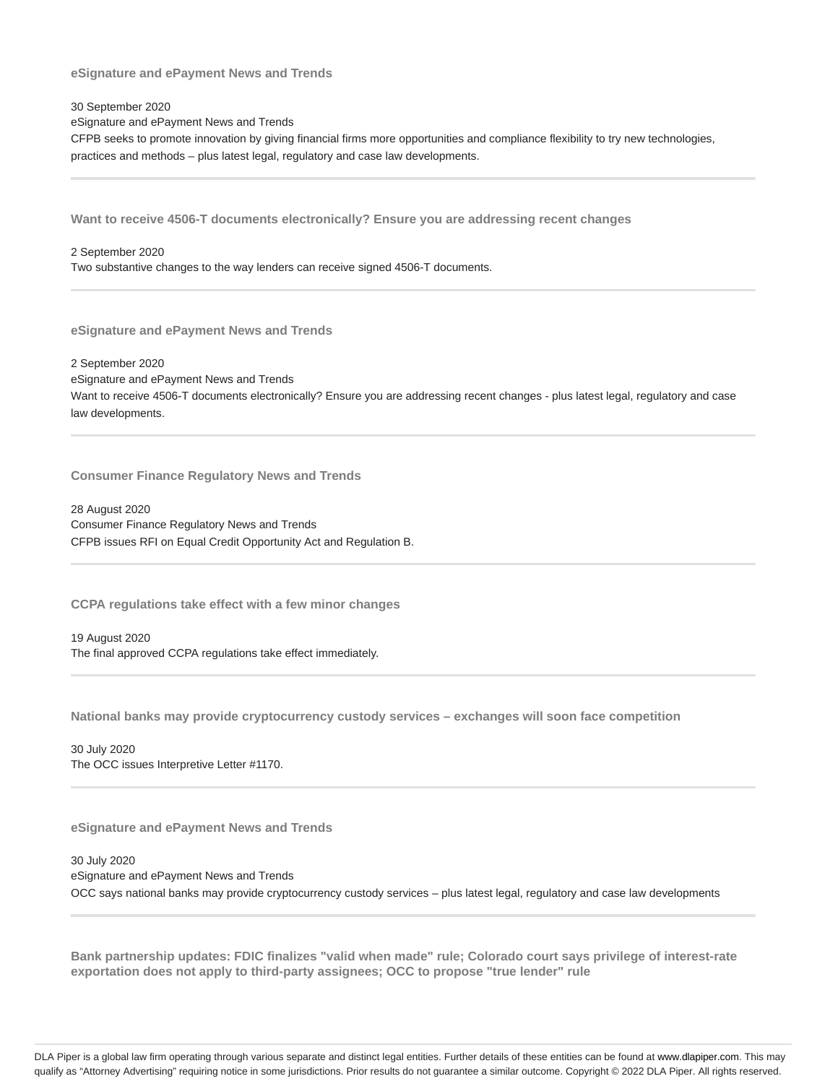**eSignature and ePayment News and Trends**

30 September 2020

eSignature and ePayment News and Trends

CFPB seeks to promote innovation by giving financial firms more opportunities and compliance flexibility to try new technologies, practices and methods – plus latest legal, regulatory and case law developments.

**Want to receive 4506-T documents electronically? Ensure you are addressing recent changes**

2 September 2020

Two substantive changes to the way lenders can receive signed 4506-T documents.

**eSignature and ePayment News and Trends**

2 September 2020 eSignature and ePayment News and Trends Want to receive 4506-T documents electronically? Ensure you are addressing recent changes - plus latest legal, regulatory and case law developments.

**Consumer Finance Regulatory News and Trends**

28 August 2020 Consumer Finance Regulatory News and Trends CFPB issues RFI on Equal Credit Opportunity Act and Regulation B.

**CCPA regulations take effect with a few minor changes**

19 August 2020 The final approved CCPA regulations take effect immediately.

**National banks may provide cryptocurrency custody services – exchanges will soon face competition**

30 July 2020 The OCC issues Interpretive Letter #1170.

**eSignature and ePayment News and Trends**

30 July 2020 eSignature and ePayment News and Trends OCC says national banks may provide cryptocurrency custody services – plus latest legal, regulatory and case law developments

**Bank partnership updates: FDIC finalizes "valid when made" rule; Colorado court says privilege of interest-rate exportation does not apply to third-party assignees; OCC to propose "true lender" rule**